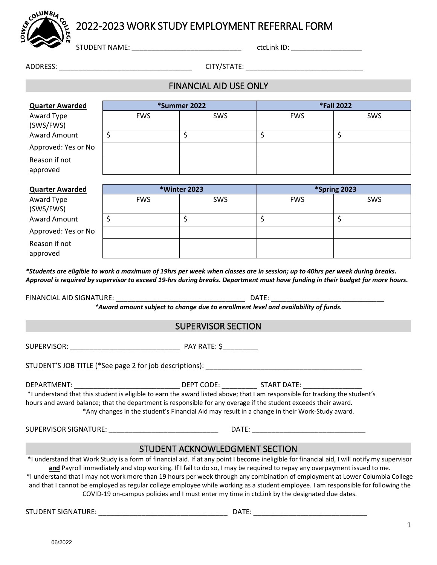# 2022-2023 WORK STUDY EMPLOYMENT REFERRAL FORM

STUDENT NAME: \_\_\_\_\_\_\_\_\_\_\_\_\_\_\_\_\_\_\_\_\_\_\_\_\_\_\_\_ ctcLink ID: \_\_\_\_\_\_\_\_\_\_\_\_\_\_\_\_\_\_

COLUMBIA

ADDRESS: \_\_\_\_\_\_\_\_\_\_\_\_\_\_\_\_\_\_\_\_\_\_\_\_\_\_\_\_\_\_\_\_\_\_ CITY/STATE: \_\_\_\_\_\_\_\_\_\_\_\_\_\_\_\_\_\_\_\_\_\_\_\_\_\_\_\_\_\_

# FINANCIAL AID USE ONLY

| <b>Quarter Awarded</b>    | *Summer 2022 |            | <b>*Fall 2022</b> |     |
|---------------------------|--------------|------------|-------------------|-----|
| Award Type<br>(SWS/FWS)   | <b>FWS</b>   | <b>SWS</b> | <b>FWS</b>        | SWS |
| Award Amount              |              |            |                   |     |
| Approved: Yes or No       |              |            |                   |     |
| Reason if not<br>approved |              |            |                   |     |

| <b>Quarter Awarded</b>    | <b>*Winter 2023</b> |            | *Spring 2023 |     |
|---------------------------|---------------------|------------|--------------|-----|
| Award Type<br>(SWS/FWS)   | <b>FWS</b>          | <b>SWS</b> | <b>FWS</b>   | SWS |
| <b>Award Amount</b>       |                     |            |              |     |
| Approved: Yes or No       |                     |            |              |     |
| Reason if not<br>approved |                     |            |              |     |

*\*Students are eligible to work a maximum of 19hrs per week when classes are in session; up to 40hrs per week during breaks. Approval is required by supervisor to exceed 19-hrs during breaks. Department must have funding in their budget for more hours.*

FINANCIAL AID SIGNATURE: \_\_\_\_\_\_\_\_\_\_\_\_\_\_\_\_\_\_\_\_\_\_\_\_\_\_\_\_\_\_\_\_\_ DATE: \_\_\_\_\_\_\_\_\_\_\_\_\_\_\_\_\_\_\_\_\_\_\_\_\_\_\_\_\_

*\*Award amount subject to change due to enrollment level and availability of funds.*

## SUPERVISOR SECTION

SUPERVISOR: \_\_\_\_\_\_\_\_\_\_\_\_\_\_\_\_\_\_\_\_\_\_\_\_\_\_\_\_ PAY RATE: \$\_\_\_\_\_\_\_\_\_

STUDENT'S JOB TITLE (\*See page 2 for job descriptions):

DEPARTMENT: \_\_\_\_\_\_\_\_\_\_\_\_\_\_\_\_\_\_\_\_\_\_\_\_\_\_\_ DEPT CODE: \_\_\_\_\_\_\_\_\_ START DATE: \_\_\_\_\_\_\_\_\_\_\_\_\_\_\_

\*I understand that this student is eligible to earn the award listed above; that I am responsible for tracking the student's hours and award balance; that the department is responsible for any overage if the student exceeds their award. \*Any changes in the student's Financial Aid may result in a change in their Work-Study award.

SUPERVISOR SIGNATURE: \_\_\_\_\_\_\_\_\_\_\_\_\_\_\_\_\_\_\_\_\_\_\_\_\_\_\_\_ DATE: \_\_\_\_\_\_\_\_\_\_\_\_\_\_\_\_\_\_\_\_\_\_\_\_\_\_\_\_\_

## STUDENT ACKNOWLEDGMENT SECTION

\*I understand that Work Study is a form of financial aid. If at any point I become ineligible for financial aid, I will notify my supervisor **and** Payroll immediately and stop working. If I fail to do so, I may be required to repay any overpayment issued to me. \*I understand that I may not work more than 19 hours per week through any combination of employment at Lower Columbia College and that I cannot be employed as regular college employee while working as a student employee. I am responsible for following the COVID-19 on-campus policies and I must enter my time in ctcLink by the designated due dates.

STUDENT SIGNATURE: \_\_\_\_\_\_\_\_\_\_\_\_\_\_\_\_\_\_\_\_\_\_\_\_\_\_\_\_\_\_\_\_\_ DATE: \_\_\_\_\_\_\_\_\_\_\_\_\_\_\_\_\_\_\_\_\_\_\_\_\_\_\_\_\_